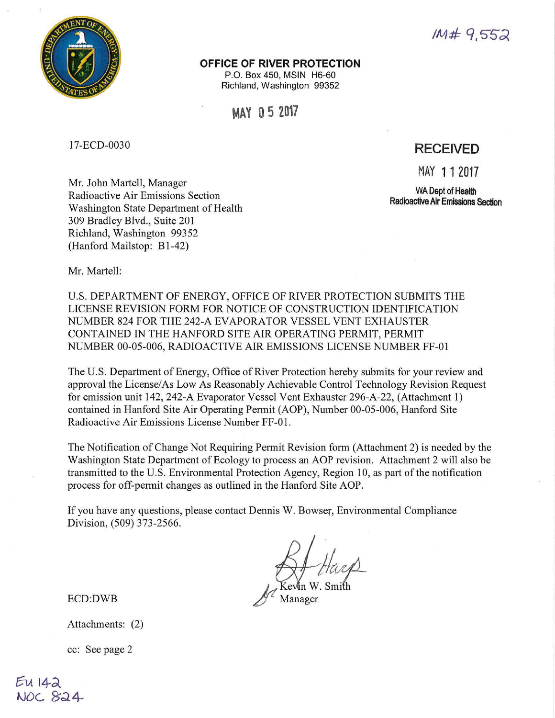

# $1M#9.552$

### **OFFICE OF RIVER PROTECTION**

P.O. Box 450, **MSIN** H6-60 Richland, Washington 99352

**MAY O 5 2017** 

17-ECD-0030

# **RECEIVED**

MAY 11 2017

**WA Dept of Health Radioactive Air Emissions Section** 

Mr. John Martell, Manager Radioactive Air Emissions Section Washington State Department of Health 309 Bradley Blvd., Suite 201 Richland, Washington 99352 (Hanford Mailstop: B1-42)

Mr. Martell:

U.S. DEPARTMENT OF ENERGY, OFFICE OF RIVER PROTECTION SUBMITS THE LICENSE REVISION FORM FOR NOTICE OF CONSTRUCTION IDENTIFICATION NUMBER 824 FOR THE 242-A EVAPORATOR VESSEL VENT EXHAUSTER CONTAINED IN THE HANFORD SITE AIR OPERA TING PERMIT, PERMIT NUMBER 00-05-006, RADIOACTIVE AIR EMISSIONS LICENSE NUMBER FF-01

The U.S. Department of Energy, Office of River Protection hereby submits for your review and approval the License/As Low As Reasonably Achievable Control Technology Revision Request for emission unit 142, 242-A Evaporator Vessel Vent Exhauster 296-A-22, (Attachment 1) contained in Hanford Site Air Operating Permit (AOP), Number 00-05-006, Hanford Site Radioactive Air Emissions License Number FF-01 .

The Notification of Change Not Requiring Permit Revision form (Attachment 2) is needed by the Washington State Department of Ecology to process an AOP revision. Attachment 2 will also be transmitted to the U.S. Environmental Protection Agency, Region 10, as part of the notification process for off-permit changes as outlined in the Hanford Site AOP.

If you have any questions, please contact Dennis W. Bowser, Environmental Compliance Division, (509) 373-2566.

Manager

ECD:DWB

Attachments: (2)

cc: See page 2

EU 142<br>NOC 824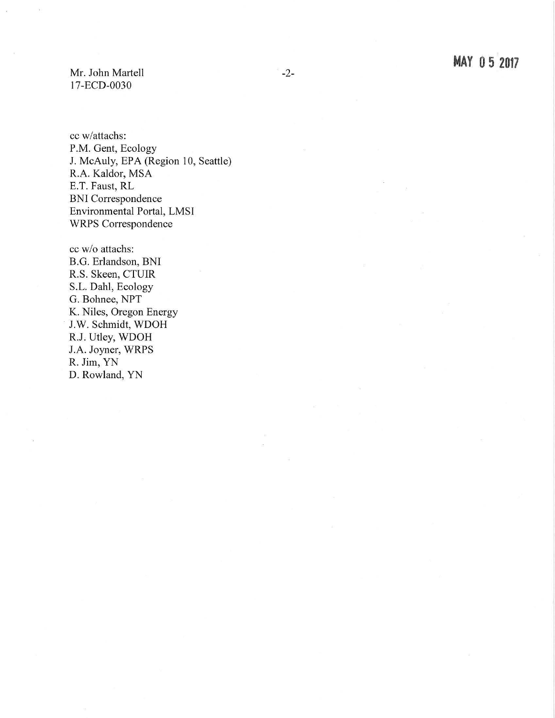Mr. John Martell 17-ECD-0030

cc w /attachs: P.M. Gent, Ecology J. McAuly, EPA (Region 10, Seattle) R.A. Kaldor, MSA E.T. Faust, RL BNI Correspondence Environmental Portal, LMSI WRPS Correspondence

cc w /o attachs: B.G. Erlandson, BNI R.S. Skeen, CTUIR S.L. Dahl, Ecology G. Bohnee, NPT K. Niles, Oregon Energy J.W. Schmidt, WDOH R.J. Utley, WDOH J.A. Joyner, WRPS R. Jim, YN D. Rowland, YN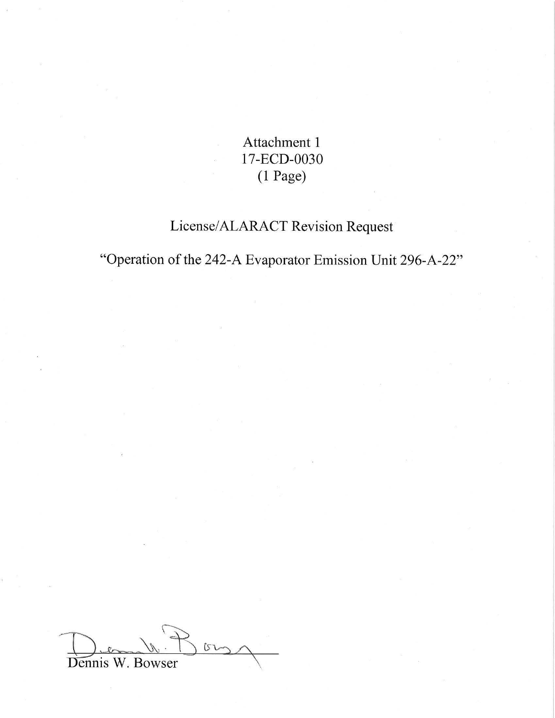Attachment 1 17-ECD-0030  $(1$  Page)

# License/ALARACT Revision Request

"Operation of the 242-A Evaporator Emission Unit 296-A-22"

 $0 - 0$ Dennis W. Bowser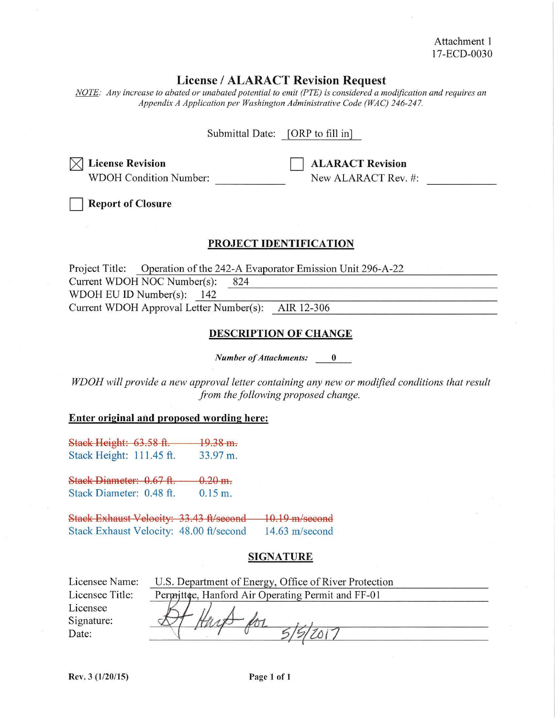Attachment I 17-ECD-0030

# **License** / **ALARACT Revision Request**

*NOTE: Any increase to abated or unabated potential to emit (PTE) is considered a modification and requires an Appendix A Application per Washington Administrative Code (WAC) 246-247.* 

Submittal Date: [ORP to fill in]

 $\times$  License Revision WDOH Condition Number: **ALARACT Revision** New ALARACT Rev. #:

**Report of Closure** 

# **PROJECT IDENTIFICATION**

Project Title: Operation of the 242-A Evaporator Emission Unit 296-A-22<br>Current WDOH NOC Number(s): 824<br>WDOH EU ID Number(s): 142 Current WDOH NOC Number(s): 824

WDOH EU ID Number(s):  $\frac{142}{2}$ <br>Current WDOH Approval Letter Number(s): AIR 12-306

## **DESCRIPTION OF CHANGE**

*Number of Attachments:* 0

*WDOH will provide a new approval letter containing any new or modified conditions that result from the following proposed change.* 

#### **Enter original and proposed wording here:**

Stack Height: 63.58 ft. Stack Height: 111.45 ft. 19.38 m. 33.97 m.

Stack Diameter: 0.67 ft. Stack Diameter: 0.48 ft.  $0.20$  m. 0.15 m.

Stack Exhaust Velocity: 33.43 ft/second 10.19 m/second Stack Exhaust Velocity: 48.00 ft/second 14.63 m/second

## **SIGNATURE**

| Licensee Name:  | U.S. Department of Energy, Office of River Protection |  |
|-----------------|-------------------------------------------------------|--|
| Licensee Title: | Permittee, Hanford Air Operating Permit and FF-01     |  |
| Licensee        |                                                       |  |
| Signature:      |                                                       |  |
| Date:           |                                                       |  |
|                 |                                                       |  |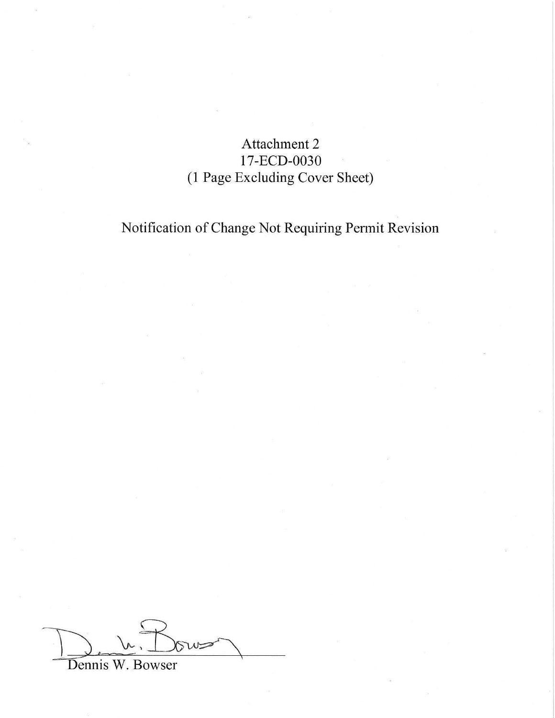# Attachment 2 17-ECD-0030 (1 Page Excluding Cover Sheet)

Notification of Change Not Requiring Permit Revision

 $\frac{1}{\text{Dennis W. Bowers}}$